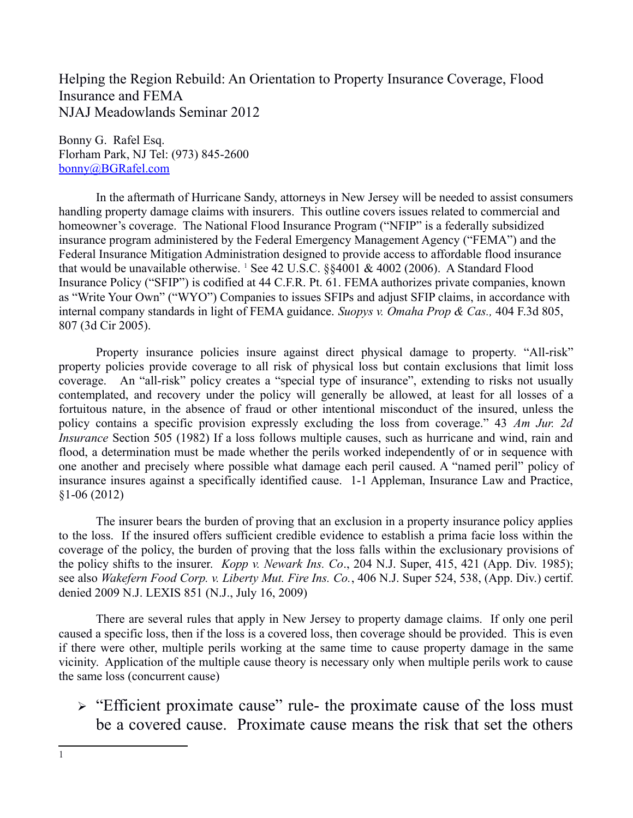Helping the Region Rebuild: An Orientation to Property Insurance Coverage, Flood Insurance and FEMA NJAJ Meadowlands Seminar 2012

Bonny G. Rafel Esq. Florham Park, NJ Tel: (973) 845-2600 [bonny@BGRafel.com](mailto:bonny@BGRafel.com)

In the aftermath of Hurricane Sandy, attorneys in New Jersey will be needed to assist consumers handling property damage claims with insurers. This outline covers issues related to commercial and homeowner's coverage. The National Flood Insurance Program ("NFIP" is a federally subsidized insurance program administered by the Federal Emergency Management Agency ("FEMA") and the Federal Insurance Mitigation Administration designed to provide access to affordable flood insurance that would be unavailable otherwise.  $^{1}$  $^{1}$  $^{1}$  See 42 U.S.C. §§4001 & 4002 (2006). A Standard Flood Insurance Policy ("SFIP") is codified at 44 C.F.R. Pt. 61. FEMA authorizes private companies, known as "Write Your Own" ("WYO") Companies to issues SFIPs and adjust SFIP claims, in accordance with internal company standards in light of FEMA guidance. *Suopys v. Omaha Prop & Cas.,* 404 F.3d 805, 807 (3d Cir 2005).

Property insurance policies insure against direct physical damage to property. "All-risk" property policies provide coverage to all risk of physical loss but contain exclusions that limit loss coverage. An "all-risk" policy creates a "special type of insurance", extending to risks not usually contemplated, and recovery under the policy will generally be allowed, at least for all losses of a fortuitous nature, in the absence of fraud or other intentional misconduct of the insured, unless the policy contains a specific provision expressly excluding the loss from coverage." 43 *Am Jur. 2d Insurance* Section 505 (1982) If a loss follows multiple causes, such as hurricane and wind, rain and flood, a determination must be made whether the perils worked independently of or in sequence with one another and precisely where possible what damage each peril caused. A "named peril" policy of insurance insures against a specifically identified cause. 1-1 Appleman, Insurance Law and Practice, §1-06 (2012)

The insurer bears the burden of proving that an exclusion in a property insurance policy applies to the loss. If the insured offers sufficient credible evidence to establish a prima facie loss within the coverage of the policy, the burden of proving that the loss falls within the exclusionary provisions of the policy shifts to the insurer. *Kopp v. Newark Ins. Co*., 204 N.J. Super, 415, 421 (App. Div. 1985); see also *Wakefern Food Corp. v. Liberty Mut. Fire Ins. Co.*, 406 N.J. Super 524, 538, (App. Div.) certif. denied 2009 N.J. LEXIS 851 (N.J., July 16, 2009)

There are several rules that apply in New Jersey to property damage claims. If only one peril caused a specific loss, then if the loss is a covered loss, then coverage should be provided. This is even if there were other, multiple perils working at the same time to cause property damage in the same vicinity. Application of the multiple cause theory is necessary only when multiple perils work to cause the same loss (concurrent cause)

 $\triangleright$  "Efficient proximate cause" rule- the proximate cause of the loss must be a covered cause. Proximate cause means the risk that set the others

<span id="page-0-0"></span><sup>1</sup>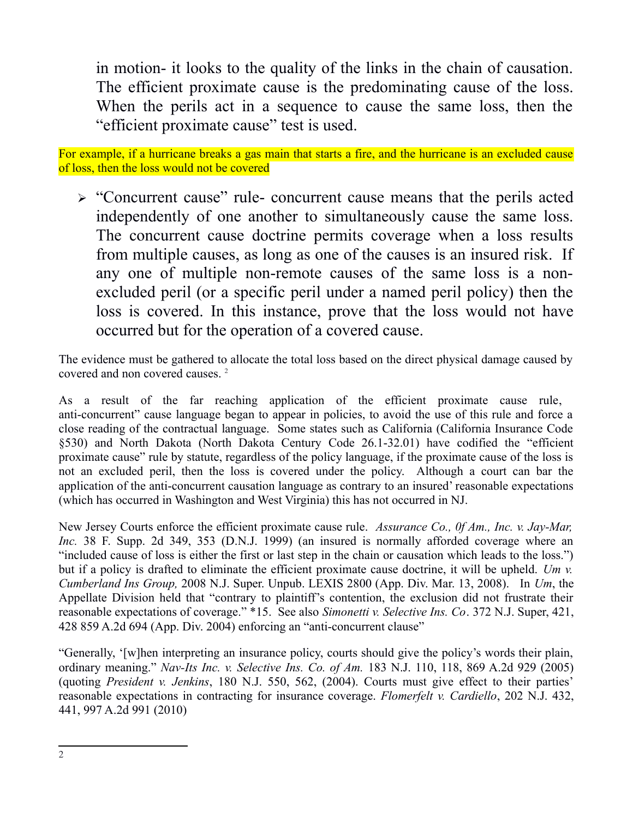in motion- it looks to the quality of the links in the chain of causation. The efficient proximate cause is the predominating cause of the loss. When the perils act in a sequence to cause the same loss, then the "efficient proximate cause" test is used.

For example, if a hurricane breaks a gas main that starts a fire, and the hurricane is an excluded cause of loss, then the loss would not be covered

 "Concurrent cause" rule- concurrent cause means that the perils acted independently of one another to simultaneously cause the same loss. The concurrent cause doctrine permits coverage when a loss results from multiple causes, as long as one of the causes is an insured risk. If any one of multiple non-remote causes of the same loss is a nonexcluded peril (or a specific peril under a named peril policy) then the loss is covered. In this instance, prove that the loss would not have occurred but for the operation of a covered cause.

The evidence must be gathered to allocate the total loss based on the direct physical damage caused by covered and non covered causes. [2](#page-1-0)

As a result of the far reaching application of the efficient proximate cause rule, anti-concurrent" cause language began to appear in policies, to avoid the use of this rule and force a close reading of the contractual language. Some states such as California (California Insurance Code §530) and North Dakota (North Dakota Century Code 26.1-32.01) have codified the "efficient proximate cause" rule by statute, regardless of the policy language, if the proximate cause of the loss is not an excluded peril, then the loss is covered under the policy. Although a court can bar the application of the anti-concurrent causation language as contrary to an insured' reasonable expectations (which has occurred in Washington and West Virginia) this has not occurred in NJ.

New Jersey Courts enforce the efficient proximate cause rule. *Assurance Co., 0f Am., Inc. v. Jay-Mar, Inc.* 38 F. Supp. 2d 349, 353 (D.N.J. 1999) (an insured is normally afforded coverage where an "included cause of loss is either the first or last step in the chain or causation which leads to the loss.") but if a policy is drafted to eliminate the efficient proximate cause doctrine, it will be upheld. *Um v. Cumberland Ins Group,* 2008 N.J. Super. Unpub. LEXIS 2800 (App. Div. Mar. 13, 2008). In *Um*, the Appellate Division held that "contrary to plaintiff's contention, the exclusion did not frustrate their reasonable expectations of coverage." \*15. See also *Simonetti v. Selective Ins. Co*. 372 N.J. Super, 421, 428 859 A.2d 694 (App. Div. 2004) enforcing an "anti-concurrent clause"

<span id="page-1-0"></span>"Generally, '[w]hen interpreting an insurance policy, courts should give the policy's words their plain, ordinary meaning." *Nav-Its Inc. v. Selective Ins. Co. of Am.* 183 N.J. 110, 118, 869 A.2d 929 (2005) (quoting *President v. Jenkins*, 180 N.J. 550, 562, (2004). Courts must give effect to their parties' reasonable expectations in contracting for insurance coverage. *Flomerfelt v. Cardiello*, 202 N.J. 432, 441, 997 A.2d 991 (2010)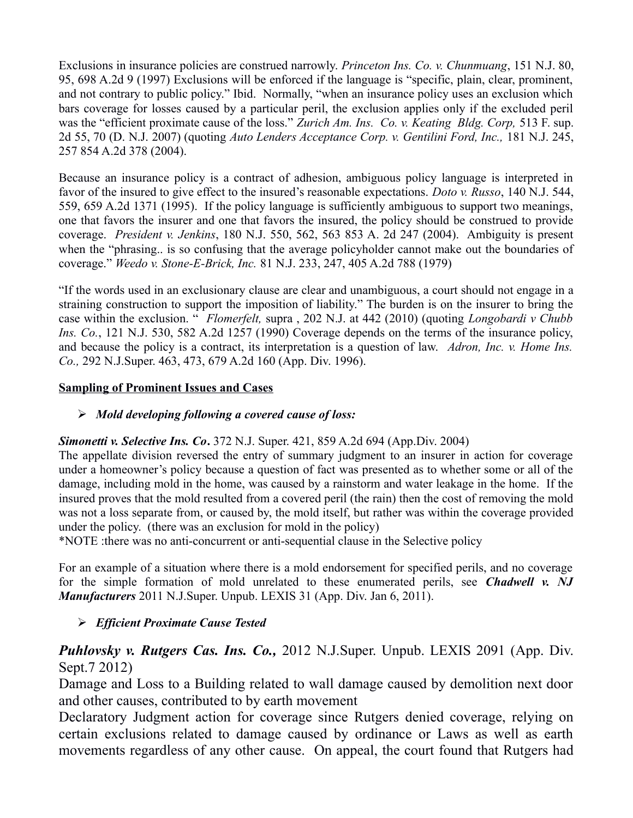Exclusions in insurance policies are construed narrowly. *Princeton Ins. Co. v. Chunmuang*, 151 N.J. 80, 95, 698 A.2d 9 (1997) Exclusions will be enforced if the language is "specific, plain, clear, prominent, and not contrary to public policy." Ibid. Normally, "when an insurance policy uses an exclusion which bars coverage for losses caused by a particular peril, the exclusion applies only if the excluded peril was the "efficient proximate cause of the loss." *Zurich Am. Ins. Co. v. Keating Bldg. Corp,* 513 F. sup. 2d 55, 70 (D. N.J. 2007) (quoting *Auto Lenders Acceptance Corp. v. Gentilini Ford, Inc.,* 181 N.J. 245, 257 854 A.2d 378 (2004).

Because an insurance policy is a contract of adhesion, ambiguous policy language is interpreted in favor of the insured to give effect to the insured's reasonable expectations. *Doto v. Russo*, 140 N.J. 544, 559, 659 A.2d 1371 (1995). If the policy language is sufficiently ambiguous to support two meanings, one that favors the insurer and one that favors the insured, the policy should be construed to provide coverage. *President v. Jenkins*, 180 N.J. 550, 562, 563 853 A. 2d 247 (2004). Ambiguity is present when the "phrasing.. is so confusing that the average policyholder cannot make out the boundaries of coverage." *Weedo v. Stone-E-Brick, Inc.* 81 N.J. 233, 247, 405 A.2d 788 (1979)

"If the words used in an exclusionary clause are clear and unambiguous, a court should not engage in a straining construction to support the imposition of liability." The burden is on the insurer to bring the case within the exclusion. " *Flomerfelt,* supra , 202 N.J. at 442 (2010) (quoting *Longobardi v Chubb Ins. Co.*, 121 N.J. 530, 582 A.2d 1257 (1990) Coverage depends on the terms of the insurance policy, and because the policy is a contract, its interpretation is a question of law. *Adron, Inc. v. Home Ins. Co.,* 292 N.J.Super. 463, 473, 679 A.2d 160 (App. Div. 1996).

#### **Sampling of Prominent Issues and Cases**

### *Mold developing following a covered cause of loss:*

### *Simonetti v. Selective Ins. Co***.** 372 N.J. Super. 421, 859 A.2d 694 (App.Div. 2004)

The appellate division reversed the entry of summary judgment to an insurer in action for coverage under a homeowner's policy because a question of fact was presented as to whether some or all of the damage, including mold in the home, was caused by a rainstorm and water leakage in the home. If the insured proves that the mold resulted from a covered peril (the rain) then the cost of removing the mold was not a loss separate from, or caused by, the mold itself, but rather was within the coverage provided under the policy. (there was an exclusion for mold in the policy)

\*NOTE :there was no anti-concurrent or anti-sequential clause in the Selective policy

For an example of a situation where there is a mold endorsement for specified perils, and no coverage for the simple formation of mold unrelated to these enumerated perils, see *Chadwell v. NJ Manufacturers* 2011 N.J.Super. Unpub. LEXIS 31 (App. Div. Jan 6, 2011).

### *Efficient Proximate Cause Tested*

# *Puhlovsky v. Rutgers Cas. Ins. Co.,* 2012 N.J.Super. Unpub. LEXIS 2091 (App. Div. Sept.7 2012)

Damage and Loss to a Building related to wall damage caused by demolition next door and other causes, contributed to by earth movement

Declaratory Judgment action for coverage since Rutgers denied coverage, relying on certain exclusions related to damage caused by ordinance or Laws as well as earth movements regardless of any other cause. On appeal, the court found that Rutgers had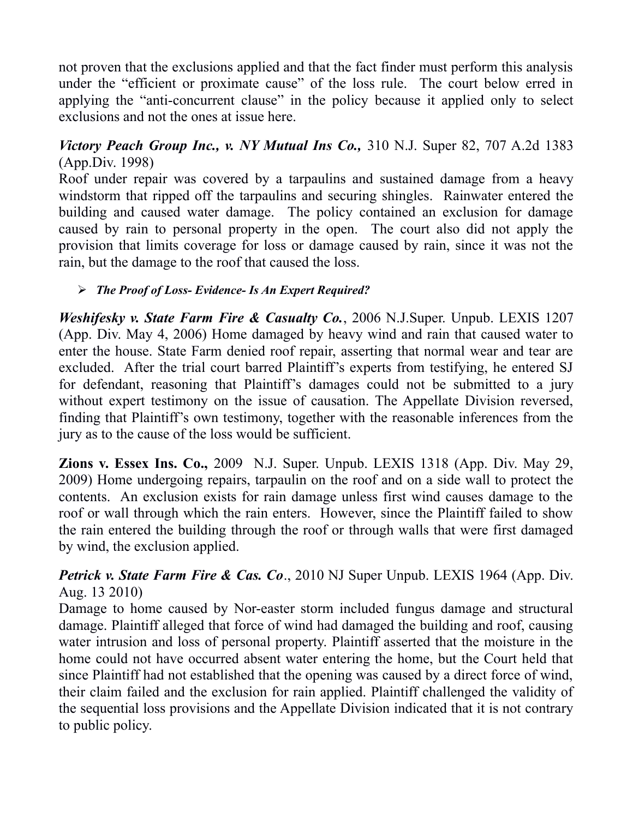not proven that the exclusions applied and that the fact finder must perform this analysis under the "efficient or proximate cause" of the loss rule. The court below erred in applying the "anti-concurrent clause" in the policy because it applied only to select exclusions and not the ones at issue here.

## *Victory Peach Group Inc., v. NY Mutual Ins Co.,* 310 N.J. Super 82, 707 A.2d 1383 (App.Div. 1998)

Roof under repair was covered by a tarpaulins and sustained damage from a heavy windstorm that ripped off the tarpaulins and securing shingles. Rainwater entered the building and caused water damage. The policy contained an exclusion for damage caused by rain to personal property in the open. The court also did not apply the provision that limits coverage for loss or damage caused by rain, since it was not the rain, but the damage to the roof that caused the loss.

## *The Proof of Loss- Evidence- Is An Expert Required?*

*Weshifesky v. State Farm Fire & Casualty Co.*, 2006 N.J.Super. Unpub. LEXIS 1207 (App. Div. May 4, 2006) Home damaged by heavy wind and rain that caused water to enter the house. State Farm denied roof repair, asserting that normal wear and tear are excluded. After the trial court barred Plaintiff's experts from testifying, he entered SJ for defendant, reasoning that Plaintiff's damages could not be submitted to a jury without expert testimony on the issue of causation. The Appellate Division reversed, finding that Plaintiff's own testimony, together with the reasonable inferences from the jury as to the cause of the loss would be sufficient.

**Zions v. Essex Ins. Co.,** 2009 N.J. Super. Unpub. LEXIS 1318 (App. Div. May 29, 2009) Home undergoing repairs, tarpaulin on the roof and on a side wall to protect the contents. An exclusion exists for rain damage unless first wind causes damage to the roof or wall through which the rain enters. However, since the Plaintiff failed to show the rain entered the building through the roof or through walls that were first damaged by wind, the exclusion applied.

# *Petrick v. State Farm Fire & Cas. Co*., 2010 NJ Super Unpub. LEXIS 1964 (App. Div. Aug. 13 2010)

Damage to home caused by Nor-easter storm included fungus damage and structural damage. Plaintiff alleged that force of wind had damaged the building and roof, causing water intrusion and loss of personal property. Plaintiff asserted that the moisture in the home could not have occurred absent water entering the home, but the Court held that since Plaintiff had not established that the opening was caused by a direct force of wind, their claim failed and the exclusion for rain applied. Plaintiff challenged the validity of the sequential loss provisions and the Appellate Division indicated that it is not contrary to public policy.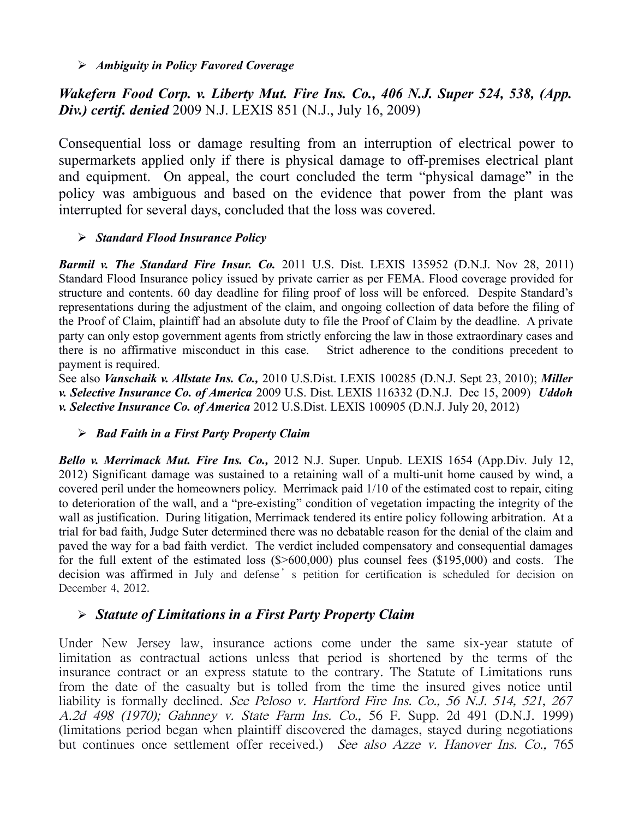*Ambiguity in Policy Favored Coverage*

*Wakefern Food Corp. v. Liberty Mut. Fire Ins. Co., 406 N.J. Super 524, 538, (App. Div.) certif. denied* 2009 N.J. LEXIS 851 (N.J., July 16, 2009)

Consequential loss or damage resulting from an interruption of electrical power to supermarkets applied only if there is physical damage to off-premises electrical plant and equipment. On appeal, the court concluded the term "physical damage" in the policy was ambiguous and based on the evidence that power from the plant was interrupted for several days, concluded that the loss was covered.

### *Standard Flood Insurance Policy*

*Barmil v. The Standard Fire Insur. Co.* 2011 U.S. Dist. LEXIS 135952 (D.N.J. Nov 28, 2011) Standard Flood Insurance policy issued by private carrier as per FEMA. Flood coverage provided for structure and contents. 60 day deadline for filing proof of loss will be enforced. Despite Standard's representations during the adjustment of the claim, and ongoing collection of data before the filing of the Proof of Claim, plaintiff had an absolute duty to file the Proof of Claim by the deadline. A private party can only estop government agents from strictly enforcing the law in those extraordinary cases and there is no affirmative misconduct in this case. Strict adherence to the conditions precedent to payment is required.

See also *Vanschaik v. Allstate Ins. Co.,* 2010 U.S.Dist. LEXIS 100285 (D.N.J. Sept 23, 2010); *Miller v. Selective Insurance Co. of America* 2009 U.S. Dist. LEXIS 116332 (D.N.J. Dec 15, 2009) *Uddoh v. Selective Insurance Co. of America* 2012 U.S.Dist. LEXIS 100905 (D.N.J. July 20, 2012)

#### *Bad Faith in a First Party Property Claim*

*Bello v. Merrimack Mut. Fire Ins. Co.,* 2012 N.J. Super. Unpub. LEXIS 1654 (App.Div. July 12, 2012) Significant damage was sustained to a retaining wall of a multi-unit home caused by wind, a covered peril under the homeowners policy. Merrimack paid 1/10 of the estimated cost to repair, citing to deterioration of the wall, and a "pre-existing" condition of vegetation impacting the integrity of the wall as justification. During litigation, Merrimack tendered its entire policy following arbitration. At a trial for bad faith, Judge Suter determined there was no debatable reason for the denial of the claim and paved the way for a bad faith verdict. The verdict included compensatory and consequential damages for the full extent of the estimated loss (\$>600,000) plus counsel fees (\$195,000) and costs. The decision was affirmed in July and defense's petition for certification is scheduled for decision on December 4, 2012.

### *Statute of Limitations in a First Party Property Claim*

Under New Jersey law, insurance actions come under the same six-year statute of limitation as contractual actions unless that period is shortened by the terms of the insurance contract or an express statute to the contrary. The Statute of Limitations runs from the date of the casualty but is tolled from the time the insured gives notice until liability is formally declined. See Peloso v. Hartford Fire Ins. Co., 56 N.J. 514, 521, 267 A.2d 498 (1970); Gahnney v. State Farm Ins. Co., 56 F. Supp. 2d 491 (D.N.J. 1999) (limitations period began when plaintiff discovered the damages, stayed during negotiations but continues once settlement offer received.) See also Azze v. Hanover Ins. Co., 765